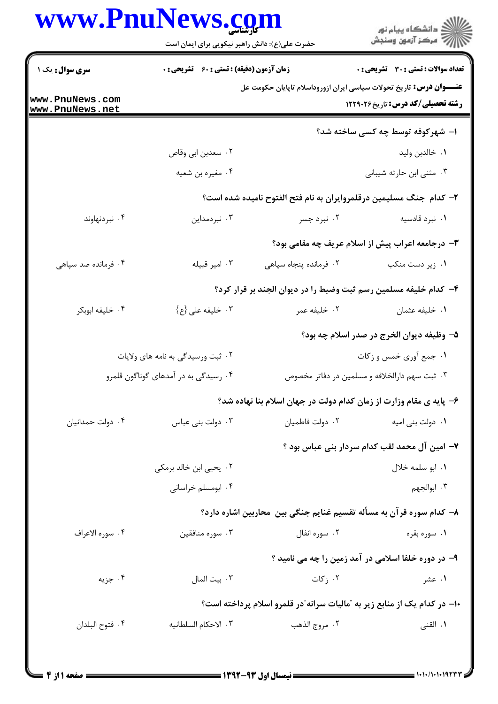|                                      | www.PnuNews.com<br>حضرت علی(ع): دانش راهبر نیکویی برای ایمان است<br><b>زمان آزمون (دقیقه) : تستی : 60 ٪ تشریحی : 0</b>     |                                                                          | ِ<br>∭ دانشڪاه پيام نور<br>∭ مرڪز آزمون وسنڊش            |  |
|--------------------------------------|----------------------------------------------------------------------------------------------------------------------------|--------------------------------------------------------------------------|----------------------------------------------------------|--|
| سری سوال: یک ۱                       |                                                                                                                            |                                                                          | <b>تعداد سوالات : تستي : 30 ٪ تشريحي : 0</b>             |  |
| www.PnuNews.com<br>www.PnuNews.net   | <del>عنــــوان درس:</del> تاریخ تحولات سیاسی ایران ازوروداسلام تاپایان حکومت عل<br><b>رشته تحصیلی/کد درس:</b> تاریخ1۲۲۹۰۲۶ |                                                                          |                                                          |  |
|                                      |                                                                                                                            |                                                                          | ۱– شهرکوفه توسط چه کسی ساخته شد؟                         |  |
|                                      | ۰۲ سعدبن ابي وقاص                                                                                                          |                                                                          | ۰۱ خالدبن وليد                                           |  |
|                                      | ۰۴ مغیره بن شعیه                                                                                                           |                                                                          | ۰۳ مثنی ابن حارثه شیبانی                                 |  |
|                                      |                                                                                                                            | ۲- کدام جنگ مسلیمین درقلمروایران به نام فتح الفتوح نامیده شده است؟       |                                                          |  |
| ۰۴ نبردنهاوند                        | ۰۳ نبردمداین                                                                                                               | ۰۲ نبرد جسر                                                              | ۰۱ نبرد قادسیه                                           |  |
|                                      |                                                                                                                            |                                                                          | <b>۳</b> - درجامعه اعراب پیش از اسلام عریف چه مقامی بود؟ |  |
| ۰۴ فرمانده صد سپاهی                  | ۰۳ امير قبيله                                                                                                              | ٢. فرمانده پنجاه سپاهی                                                   | ۰۱ زیر دست منکب                                          |  |
|                                      |                                                                                                                            | ۴– کدام خلیفه مسلمین رسم ثبت وضبط را در دیوان الجند بر قرار کرد؟         |                                                          |  |
| ۰۴ خليفه ابوبكر                      | ۰۳ خلیفه علی {ع}                                                                                                           | ۰۲ خليفه عمر                                                             | ٠١ خليفه عثمان                                           |  |
|                                      |                                                                                                                            |                                                                          | ۵– وظیفه دیوان الخرج در صدر اسلام چه بود؟                |  |
|                                      | ۰۲ ثبت ورسیدگی به نامه های ولایات                                                                                          |                                                                          | ۰۱ جمع آوری خمس و زکات                                   |  |
| ۰۴ رسیدگی به در آمدهای گوناگون قلمرو |                                                                                                                            |                                                                          | ۰۳ ثبت سهم دارالخلافه و مسلمین در دفاتر مخصوص            |  |
|                                      |                                                                                                                            | ۶- پایه ی مقام وزارت از زمان کدام دولت در جهان اسلام بنا نهاده شد؟       |                                                          |  |
| ۰۴ دولت حمدانیان                     | ۰۳ دولت بنی عباس                                                                                                           | ٠٢ دولت فاطميان                                                          | ۰۱ دولت بنی امیه                                         |  |
|                                      |                                                                                                                            |                                                                          | ٧- امين آل محمد لقب كدام سردار بني عباس بود ؟            |  |
|                                      | ۰۲ یحیی ابن خالد برمکی                                                                                                     |                                                                          | ٠١. ابو سلمه خلال                                        |  |
|                                      | ۰۴ ابومسلم خراسانی                                                                                                         |                                                                          | ۰۳ ابوالجهم                                              |  |
|                                      |                                                                                                                            | ۸– کدام سوره قرآن به مسأله تقسیم غنایم جنگی بین ًمحاربین اشاره دارد؟     |                                                          |  |
| ۰۴ سوره الاعراف                      | ۰۳ سوره منافقين                                                                                                            | ۰۲ سوره انفال                                                            | ۰۱ سوره بقره                                             |  |
|                                      |                                                                                                                            |                                                                          | ۹- در دوره خلفا اسلامی در آمد زمین را چه می نامید ؟      |  |
| ۰۴ جزیه                              | ۰۳ بيت المال                                                                                                               | ۰۲ ز کات                                                                 | ۰۱ عشر                                                   |  |
|                                      |                                                                                                                            | ۱۰– در کدام یک از منابع زیر به "مالیات سرانه"در قلمرو اسلام پرداخته است؟ |                                                          |  |
| ۰۴ فتوح البلدان                      | ٠٣ الاحكام السلطانيه                                                                                                       | ۰۲ مروج الذهب                                                            | ۰۱ القنی                                                 |  |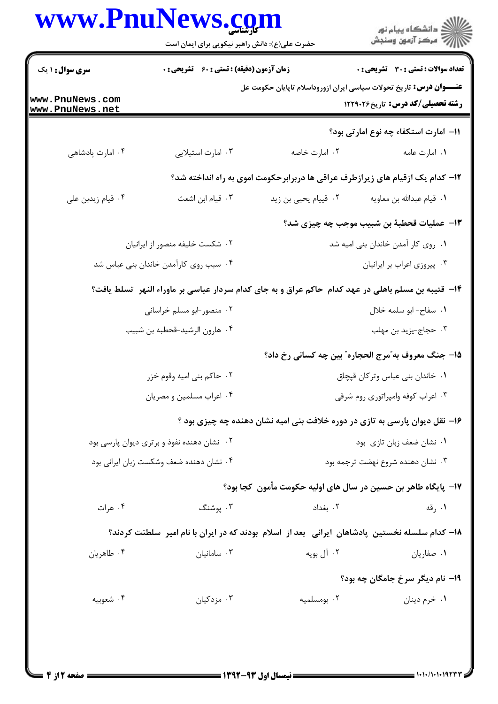| www.PnuNews.com                    | حضرت علی(ع): دانش راهبر نیکویی برای ایمان است |                                                                                                     | ِ<br>∭ دانشڪاه پيام نور<br>∭ مرڪز آزمون وسنڊش        |  |
|------------------------------------|-----------------------------------------------|-----------------------------------------------------------------------------------------------------|------------------------------------------------------|--|
| سری سوال : ۱ یک                    | زمان آزمون (دقیقه) : تستی : 60 ٪ تشریحی : 0   |                                                                                                     | <b>تعداد سوالات : تستی : 30 ٪ تشریحی : 0</b>         |  |
| www.PnuNews.com<br>www.PnuNews.net |                                               | <b>عنـــوان درس:</b> تاریخ تحولات سیاسی ایران ازوروداسلام تاپایان حکومت عل                          | <b>رشته تحصیلی/کد درس:</b> تاریخ ۱۲۲۹۰۲۶             |  |
|                                    |                                               |                                                                                                     | 11– امارت استكفاء چه نوع امارتي بود؟                 |  |
| ۰۴ امارت پادشاهی                   | ۰۳ امارت استيلايي                             | ۰۲ امارت خاصه                                                                                       | ٠١ امارت عامه                                        |  |
|                                    |                                               | ۱۲- کدام یک ازقیام های زیرازطرف عراقی ها دربرابرحکومت اموی به راه انداخته شد؟                       |                                                      |  |
| ۰۴ قیام زیدبن علی                  | ۰۳ قیام ابن اشعث                              | ۰۲ قییام یحیی بن زید                                                                                | ٠١ قيام عبدالله بن معاويه                            |  |
|                                    |                                               | ۱۳−  عملیات قحطبهٔ بن شبیب موجب چه چیزی شد؟                                                         |                                                      |  |
|                                    | ۰۲ شکست خلیفه منصور از ایرانیان               |                                                                                                     | ٠١ روى كار أمدن خاندان بني اميه شد                   |  |
|                                    | ۰۴ سبب روی کارآمدن خاندان بنی عباس شد         |                                                                                                     | ۰۳ پیروزی اعراب بر ایرانیان                          |  |
|                                    |                                               | ۱۴– قتیبه بن مسلم باهلی در عهد کدام حاکم عراق و به جای کدام سردار عباسی بر ماوراء النهر  تسلط یافت؟ |                                                      |  |
|                                    | ۰۲ منصور-ابو مسلم خراسانی                     | ٠١ سفاح-ابو سلمه خلال                                                                               |                                                      |  |
|                                    | ۰۴ هارون الرشيد-قحطبه بن شبيب                 |                                                                                                     | ۰۳ حجاج-يزيد بن مهلب                                 |  |
|                                    |                                               |                                                                                                     | 1۵– جنگ معروف به ؒمرج الحجاره ؒ بين چه کسانی رخ داد؟ |  |
|                                    | ۰۲ حاکم بنی امیه وقوم خزر                     |                                                                                                     | ٠١ خاندان بنى عباس وتركان قبچاق                      |  |
|                                    | ۰۴ اعراب مسلمین و مصریان                      |                                                                                                     | ۰۳ اعراب کوفه وامپراتوری روم شرقی                    |  |
|                                    |                                               | ۱۶- نقل دیوان پارسی به تازی در دوره خلافت بنی امیه نشان دهنده چه چیزی بود ؟                         |                                                      |  |
|                                    | ۰۲ نشان دهنده نفوذ و برتری دیوان پارسی بود    |                                                                                                     | ٠١ نشان ضعف زبان تازي بود                            |  |
|                                    | ۰۴ نشان دهنده ضعف وشکست زبان ایرانی بود       |                                                                                                     | ۰۳ نشان دهنده شروع نهضت ترجمه بود                    |  |
|                                    |                                               | ۱۷−  پایگاه طاهر بن حسین در سال های اولیه حکومت مأمون  کجا بود؟                                     |                                                      |  |
| ۰۴ هرات                            | ۰۳ پوشنگ                                      | ۰۲ بغداد                                                                                            | ۰۱ رقه                                               |  |
|                                    |                                               | ۱۸- کدام سلسله نخستین پادشاهان ایرانی بعد از اسلام بودند که در ایران با نام امیر سلطنت کردند؟       |                                                      |  |
| ۰۴ طاهريان                         | ۰۳ سامانیان                                   | ۰۲ آل بويه                                                                                          | ۰۱ صفاریان                                           |  |
|                                    |                                               |                                                                                                     | ۱۹– نام دیگر سرخ جامگان چه بود؟                      |  |
| ۰۴ شعوبيه                          | ۰۳ مزدکیان                                    | ۰۲ بومسلمیه                                                                                         | ۰۱ خرم دينان                                         |  |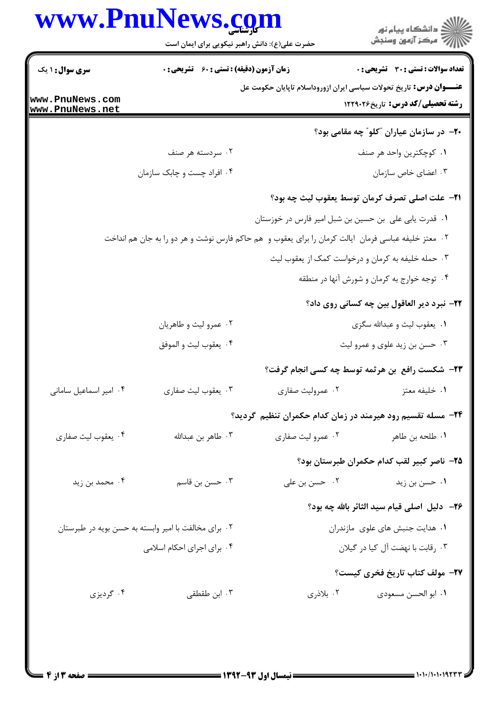|                                                      | www.PnuNews.com<br>حضرت علی(ع): دانش راهبر نیکویی برای ایمان است                                      |                                                       | ڪ دانشڪاه پيام نور<br><mark>ر</mark> ⊽ مرڪز آزمون وسنڊش                                                               |
|------------------------------------------------------|-------------------------------------------------------------------------------------------------------|-------------------------------------------------------|-----------------------------------------------------------------------------------------------------------------------|
| <b>سری سوال : ۱ یک</b>                               | <b>زمان آزمون (دقیقه) : تستی : 60 ٪ تشریحی : 0</b>                                                    |                                                       | <b>تعداد سوالات : تستی : 30 ٪ تشریحی : 0</b>                                                                          |
| www.PnuNews.com<br>www.PnuNews.net                   |                                                                                                       |                                                       | <b>عنـــوان درس:</b> تاریخ تحولات سیاسی ایران ازوروداسلام تاپایان حکومت عل<br><b>رشته تحصیلی/کد درس:</b> تاریخ1۲۲۹۰۲۶ |
|                                                      |                                                                                                       |                                                       | <b>۲۰</b> - در سازمان عیاران "کلو" چه مقامی بود؟                                                                      |
|                                                      | ۰۲ سردسته هر صنف                                                                                      |                                                       | ٠١ كوچكترين واحد هر صنف                                                                                               |
|                                                      | ۰۴ افراد چست و چابک سازمان                                                                            |                                                       | ۰۳ اعضای خاص سازمان                                                                                                   |
|                                                      |                                                                                                       |                                                       | <b>٢١</b> - علت اصلي تصرف كرمان توسط يعقوب ليث چه بود؟                                                                |
|                                                      |                                                                                                       | ٠١. قدرت يابي على بن حسين بن شبل امير فارس در خوزستان |                                                                                                                       |
|                                                      | ۰۲ معتز خلیفه عباسی فرمان  ایالت کرمان را برای یعقوب و  هم حاکم فارس نوشت و هر دو را به جان هم انداخت |                                                       |                                                                                                                       |
|                                                      |                                                                                                       |                                                       | ۰۳ حمله خلیفه به کرمان و درخواست کمک از یعقوب لیث                                                                     |
|                                                      |                                                                                                       |                                                       | ۰۴ توجه خوارج به کرمان و شورش آنها در منطقه                                                                           |
|                                                      |                                                                                                       |                                                       | <b>۲۲</b> - نبرد دیر العاقول بین چه کسانی روی داد؟                                                                    |
|                                                      | ۰۲ عمرو ليث و طاهريان                                                                                 |                                                       | ۰۱ يعقوب ليث و عبدالله سگزى                                                                                           |
|                                                      | ۰۴ يعقوب ليث و الموفق                                                                                 |                                                       | ۰۳ حسن بن زيد علوى و عمرو ليث                                                                                         |
|                                                      |                                                                                                       |                                                       | <b>۲۳</b> - شکست رافع  بن هرثمه توسط چه کسی انجام گرفت؟                                                               |
| ۰۴ امیر اسماعیل سامانی                               | ۰۳ يعقوب ليث صفاري                                                                                    | ۰۲ عمرولیث صفاری                                      | ٠١ خليفه معتز                                                                                                         |
|                                                      |                                                                                                       |                                                       | ۲۴– مسله تقسیم رود هیرمند در زمان کدام حکمران تنظیم گردید؟                                                            |
| ۰۴ يعقوب ليث صفاري                                   | ۰۳ طاهر بن عبدالله                                                                                    | ۰۲ عمرو ليث صفاري                                     | ۰۱ طلحه بن طاهر                                                                                                       |
|                                                      |                                                                                                       |                                                       | ۲۵– ناصر کبیر لقب کدام حکمران طبرستان بود؟                                                                            |
| ۰۴ محمد بن زید                                       | ۰۳ حسن بن قاسم                                                                                        | ۰۲ حسن بن علی                                         | ۰۱ حسن بن زید                                                                                                         |
|                                                      |                                                                                                       |                                                       | <b>۲۶</b> - دلیل اصلی قیام سید الثائر بالله چه بود؟                                                                   |
| ۰۲ برای مخالفت با امیر وابسته به حسن بویه در طبرستان |                                                                                                       | ۰۱ هدایت جنبش های علوی مازندران                       |                                                                                                                       |
|                                                      | ۰۴ برای اجرای احکام اسلامی                                                                            |                                                       | ۰۳ رقابت با نهضت آل کیا در گیلان                                                                                      |
|                                                      |                                                                                                       |                                                       | <b>۲۷</b> – مولف کتاب تاریخ فخری کیست؟                                                                                |
| ۰۴ گردیزی                                            | ۰۳ ابن طقطقی                                                                                          | ۰۲ بلاذری                                             | ٠١. ابو الحسن مسعودي                                                                                                  |